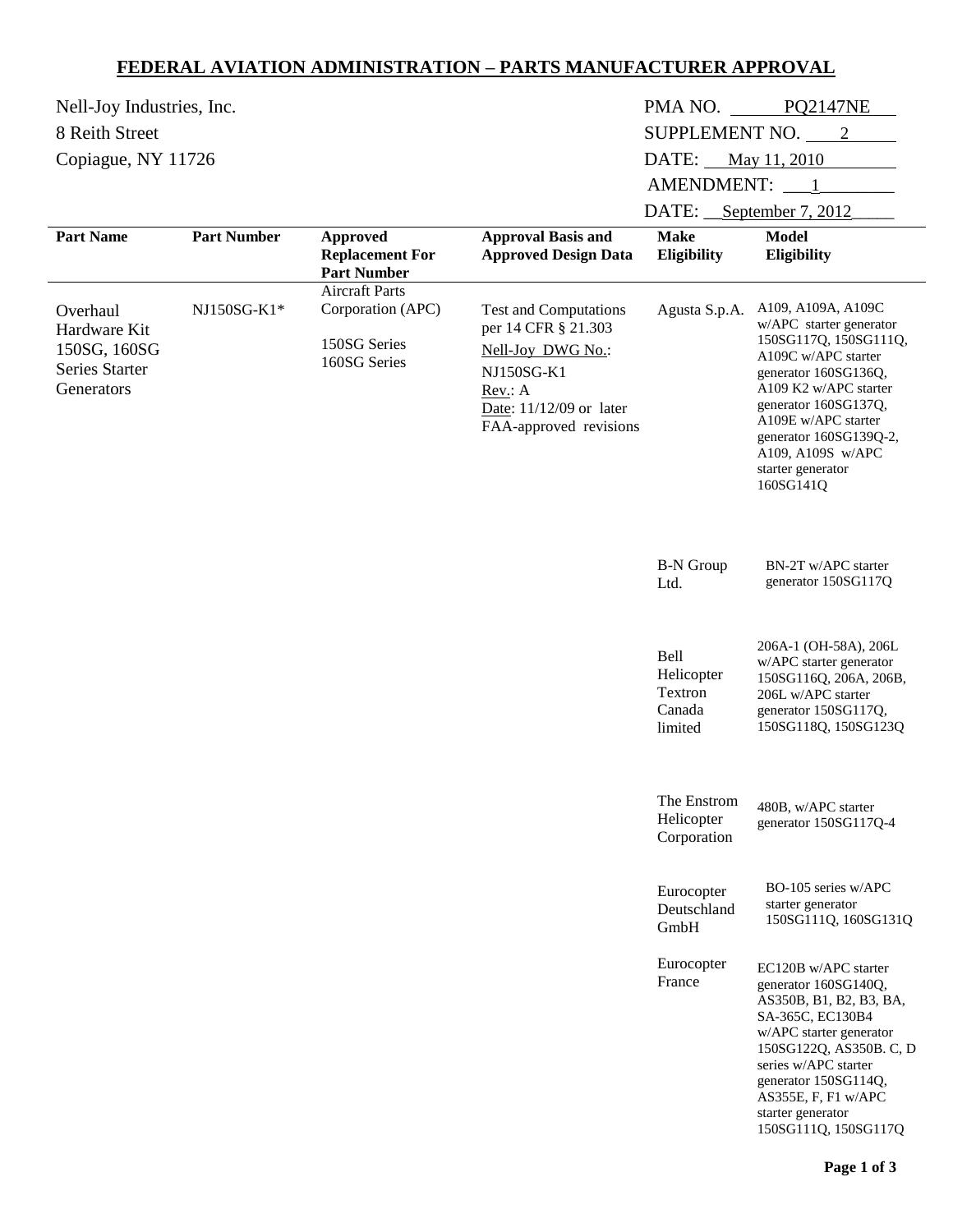## **FEDERAL AVIATION ADMINISTRATION – PARTS MANUFACTURER APPROVAL**

| Nell-Joy Industries, Inc.                                                |                    | PMA NO.<br><b>PQ2147NE</b>                                                 |                                                                                                                                                        |                                                    |                                                                                                                                                                                                                                                                                |
|--------------------------------------------------------------------------|--------------------|----------------------------------------------------------------------------|--------------------------------------------------------------------------------------------------------------------------------------------------------|----------------------------------------------------|--------------------------------------------------------------------------------------------------------------------------------------------------------------------------------------------------------------------------------------------------------------------------------|
| 8 Reith Street                                                           |                    | SUPPLEMENT NO. 2                                                           |                                                                                                                                                        |                                                    |                                                                                                                                                                                                                                                                                |
| Copiague, NY 11726                                                       |                    |                                                                            |                                                                                                                                                        | DATE:<br>May 11, 2010                              |                                                                                                                                                                                                                                                                                |
|                                                                          |                    |                                                                            |                                                                                                                                                        | AMENDMENT: 1                                       |                                                                                                                                                                                                                                                                                |
|                                                                          |                    |                                                                            |                                                                                                                                                        | DATE: September 7, 2012                            |                                                                                                                                                                                                                                                                                |
| <b>Part Name</b>                                                         | <b>Part Number</b> | <b>Approved</b><br><b>Replacement For</b><br><b>Part Number</b>            | <b>Approval Basis and</b><br><b>Approved Design Data</b>                                                                                               | <b>Make</b><br>Eligibility                         | <b>Model</b><br>Eligibility                                                                                                                                                                                                                                                    |
| Overhaul<br>Hardware Kit<br>150SG, 160SG<br>Series Starter<br>Generators | NJ150SG-K1*        | <b>Aircraft Parts</b><br>Corporation (APC)<br>150SG Series<br>160SG Series | <b>Test and Computations</b><br>per 14 CFR § 21.303<br>Nell-Joy DWG No.:<br>NJ150SG-K1<br>Rev.: A<br>Date: 11/12/09 or later<br>FAA-approved revisions | Agusta S.p.A.                                      | A109, A109A, A109C<br>w/APC starter generator<br>150SG117Q, 150SG111Q,<br>A109C w/APC starter<br>generator 160SG136Q,<br>A109 K2 w/APC starter<br>generator 160SG137Q,<br>A109E w/APC starter<br>generator 160SG139Q-2,<br>A109, A109S w/APC<br>starter generator<br>160SG141Q |
|                                                                          |                    |                                                                            |                                                                                                                                                        | <b>B-N</b> Group<br>Ltd.                           | BN-2T w/APC starter<br>generator 150SG117Q                                                                                                                                                                                                                                     |
|                                                                          |                    |                                                                            |                                                                                                                                                        | Bell<br>Helicopter<br>Textron<br>Canada<br>limited | 206A-1 (OH-58A), 206L<br>w/APC starter generator<br>150SG116Q, 206A, 206B,<br>206L w/APC starter<br>generator 150SG117Q,<br>150SG118Q, 150SG123Q                                                                                                                               |
|                                                                          |                    |                                                                            |                                                                                                                                                        | The Enstrom<br>Helicopter<br>Corporation           | 480B, w/APC starter<br>generator 150SG117Q-4                                                                                                                                                                                                                                   |
|                                                                          |                    |                                                                            |                                                                                                                                                        | Eurocopter<br>Deutschland<br>GmbH                  | BO-105 series w/APC<br>starter generator<br>150SG111Q, 160SG131Q                                                                                                                                                                                                               |
|                                                                          |                    |                                                                            |                                                                                                                                                        | Eurocopter<br>France                               | EC120B w/APC starter<br>generator 160SG140Q,<br>AS350B, B1, B2, B3, BA,<br>SA-365C, EC130B4<br>w/APC starter generator<br>150SG122Q, AS350B.C, D<br>series w/APC starter<br>generator 150SG114Q,<br>AS355E, F, F1 w/APC<br>starter generator<br>150SG111Q, 150SG117Q           |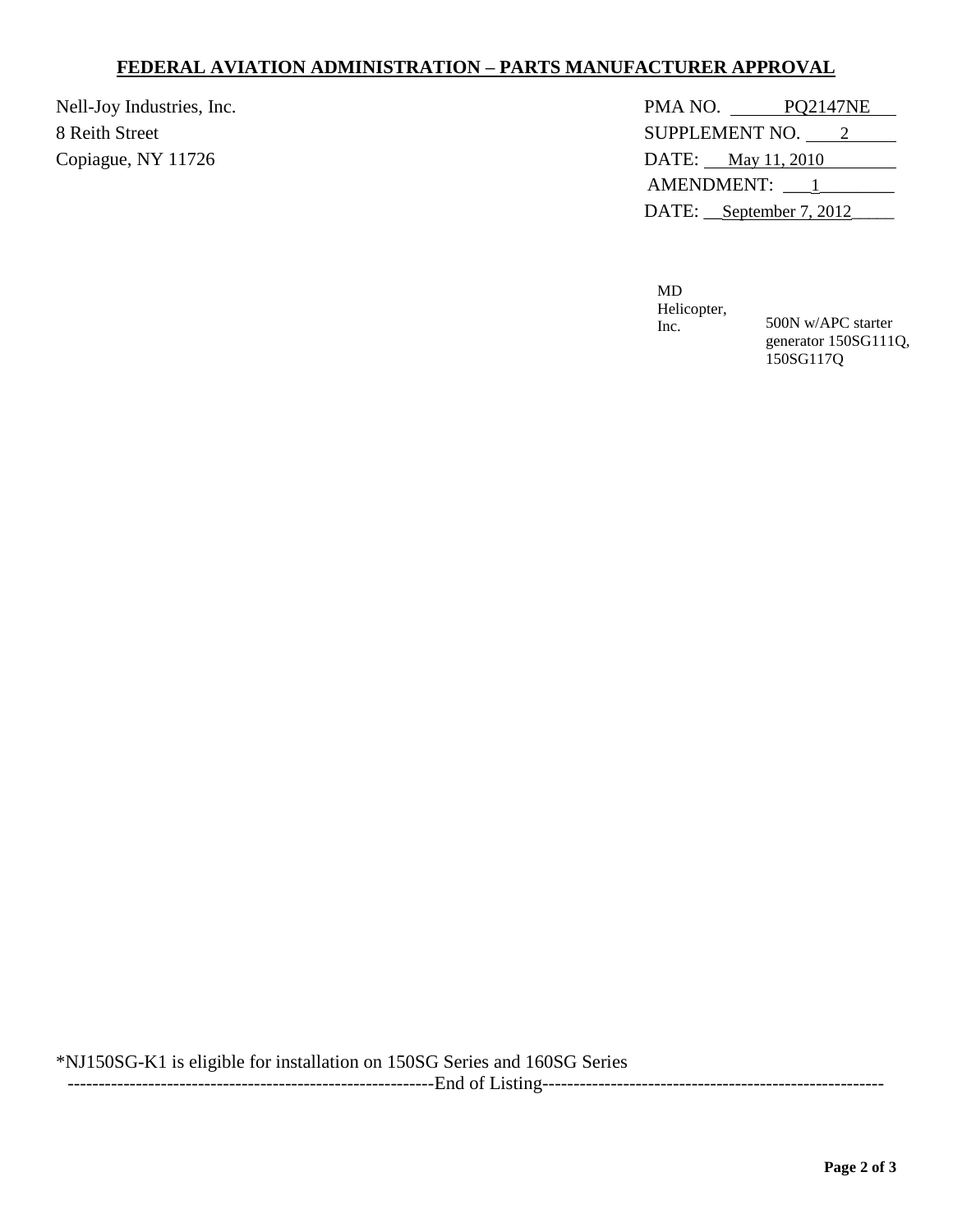## **FEDERAL AVIATION ADMINISTRATION – PARTS MANUFACTURER APPROVAL**

| Nell-Joy Industries, Inc. | PMA NO.<br><b>PO2147NE</b> |
|---------------------------|----------------------------|
| 8 Reith Street            | SUPPLEMENT NO. 2           |
| Copiague, NY 11726        | DATE: May 11, 2010         |
|                           | AMENDMENT: 1               |
|                           | DATE: September 7, 2012    |

MD Helicopter,

Inc. 500N w/APC starter generator 150SG111Q, 150SG117Q

\*NJ150SG-K1 is eligible for installation on 150SG Series and 160SG Series -----------------------------------------------------------End of Listing-------------------------------------------------------